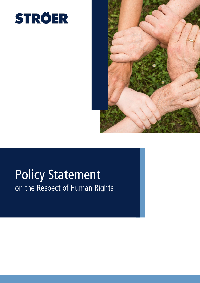



## Policy Statement on the Respect of Human Rights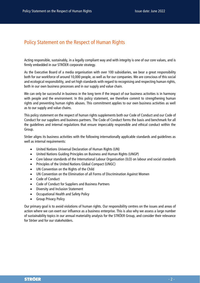## Policy Statement on the Respect of Human Rights

Acting responsible, sustainably, in a legally compliant way and with integrity is one of our core values, and is firmly embedded in our STRÖER corporate strategy.

As the Executive Board of a media organisation with over 100 subsidiaries, we bear a great responsibility both for our workforce of around 10,000 people, as well as for our companies. We are conscious of this social and ecological responsibility, and set high standards with regard to recognising and respecting human rights, both in our own business processes and in our supply and value chain.

We can only be successful in business in the long term if the impact of our business activities is in harmony with people and the environment. In this policy statement, we therefore commit to strengthening human rights and preventing human rights abuses. This commitment applies to our own business activities as well as to our supply and value chains.

This policy statement on the respect of human rights supplements both our Code of Conduct and our Code of Conduct for our suppliers and business partners. The Code of Conduct forms the basis and benchmark for all the guidelines and internal regulations that ensure impeccably responsible and ethical conduct within the Group.

Ströer aligns its business activities with the following internationally applicable standards and guidelines as well as internal requirements:

- United Nations Universal Declaration of Human Rights (UN)
- United Nations Guiding Principles on Business and Human Rights (UNGP)
- Core labour standards of the International Labour Organisation (ILO) on labour and social standards
- Principles of the United Nations Global Compact (UNGC)
- UN Convention on the Rights of the Child
- UN Convention on the Elimination of all Forms of Discrimination Against Women
- Code of Conduct
- Code of Conduct for Suppliers and Business Partners
- Diversity and Inclusion Statement
- Occupational Health and Safety Policy
- Group Privacy Policy

Our primary goal is to avoid violations of human rights. Our responsibility centres on the issues and areas of action where we can exert our influence as a business enterprise. This is also why we assess a large number of sustainability topics in our annual materiality analysis for the STRÖER Group, and consider their relevance for Ströer and for our stakeholders.